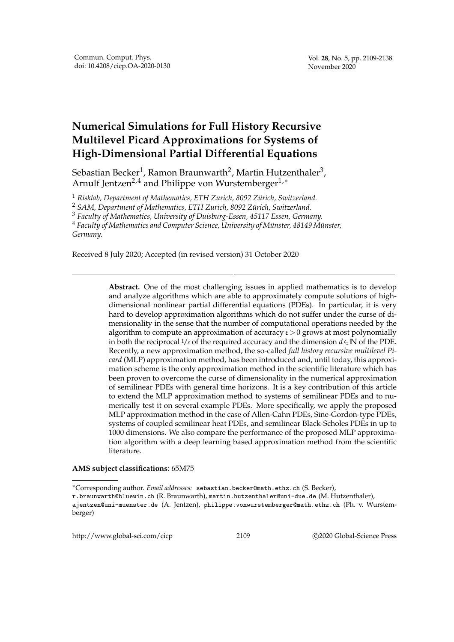## **Numerical Simulations for Full History Recursive Multilevel Picard Approximations for Systems of High-Dimensional Partial Differential Equations**

Sebastian Becker $^1$ , Ramon Braunwarth $^2$ , Martin Hutzenthaler $^3$ , Arnulf Jentzen<sup>2,4</sup> and Philippe von Wurstemberger<sup>1,\*</sup>

<sup>1</sup> Risklab, Department of Mathematics, ETH Zurich, 8092 Zürich, Switzerland.

<sup>2</sup> SAM, Department of Mathematics, ETH Zurich, 8092 Zürich, Switzerland.

<sup>3</sup> *Faculty of Mathematics, University of Duisburg-Essen, 45117 Essen, Germany.*

<sup>4</sup> Faculty of Mathematics and Computer Science, University of Münster, 48149 Münster, *Germany.*

Received 8 July 2020; Accepted (in revised version) 31 October 2020

**Abstract.** One of the most challenging issues in applied mathematics is to develop and analyze algorithms which are able to approximately compute solutions of highdimensional nonlinear partial differential equations (PDEs). In particular, it is very hard to develop approximation algorithms which do not suffer under the curse of dimensionality in the sense that the number of computational operations needed by the algorithm to compute an approximation of accuracy *ε*>0 grows at most polynomially in both the reciprocal  $1/\varepsilon$  of the required accuracy and the dimension  $d \in \mathbb{N}$  of the PDE. Recently, a new approximation method, the so-called *full history recursive multilevel Picard* (MLP) approximation method, has been introduced and, until today, this approximation scheme is the only approximation method in the scientific literature which has been proven to overcome the curse of dimensionality in the numerical approximation of semilinear PDEs with general time horizons. It is a key contribution of this article to extend the MLP approximation method to systems of semilinear PDEs and to numerically test it on several example PDEs. More specifically, we apply the proposed MLP approximation method in the case of Allen-Cahn PDEs, Sine-Gordon-type PDEs, systems of coupled semilinear heat PDEs, and semilinear Black-Scholes PDEs in up to 1000 dimensions. We also compare the performance of the proposed MLP approximation algorithm with a deep learning based approximation method from the scientific literature.

## **AMS subject classifications**: 65M75

http://www.global-sci.com/cicp 2109 2009 2020 Global-Science Press

<sup>∗</sup>Corresponding author. *Email addresses:* sebastian.becker@math.ethz.ch (S. Becker),

r.braunwarth@bluewin.ch (R. Braunwarth), martin.hutzenthaler@uni-due.de (M. Hutzenthaler),

ajentzen@uni-muenster.de (A. Jentzen), philippe.vonwurstemberger@math.ethz.ch (Ph. v. Wurstemberger)